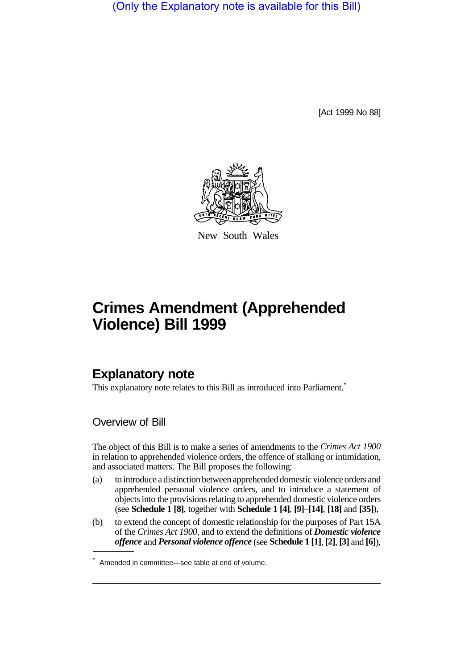(Only the Explanatory note is available for this Bill)

[Act 1999 No 88]



New South Wales

## **Crimes Amendment (Apprehended Violence) Bill 1999**

## **Explanatory note**

This explanatory note relates to this Bill as introduced into Parliament.<sup>\*</sup>

Overview of Bill

The object of this Bill is to make a series of amendments to the *Crimes Act 1900* in relation to apprehended violence orders, the offence of stalking or intimidation, and associated matters. The Bill proposes the following:

- (a) to introduce a distinction between apprehended domestic violence orders and apprehended personal violence orders, and to introduce a statement of objects into the provisions relating to apprehended domestic violence orders (see **Schedule 1 [8]**, together with **Schedule 1 [4]**, **[9]**–**[14]**, **[18]** and **[35]**),
- (b) to extend the concept of domestic relationship for the purposes of Part 15A of the *Crimes Act 1900*, and to extend the definitions of *Domestic violence offence* and *Personal violence offence* (see **Schedule 1 [1]**, **[2]**, **[3]** and **[6]**),

<sup>\*</sup> Amended in committee—see table at end of volume.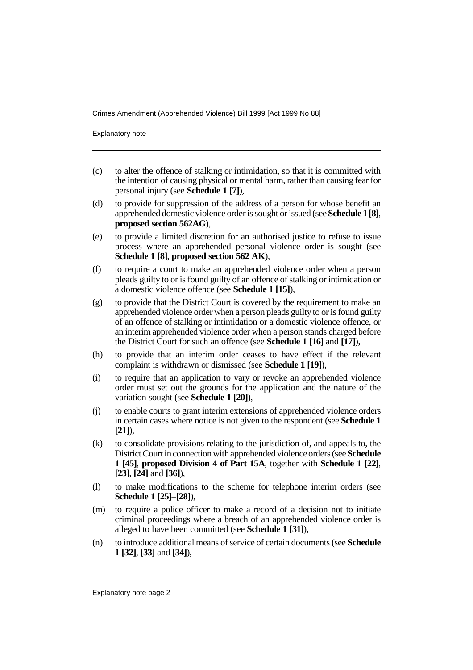Crimes Amendment (Apprehended Violence) Bill 1999 [Act 1999 No 88]

Explanatory note

- (c) to alter the offence of stalking or intimidation, so that it is committed with the intention of causing physical or mental harm, rather than causing fear for personal injury (see **Schedule 1 [7]**),
- (d) to provide for suppression of the address of a person for whose benefit an apprehended domestic violence order is sought or issued (see **Schedule 1 [8]**, **proposed section 562AG**),
- (e) to provide a limited discretion for an authorised justice to refuse to issue process where an apprehended personal violence order is sought (see **Schedule 1 [8]**, **proposed section 562 AK**),
- (f) to require a court to make an apprehended violence order when a person pleads guilty to or is found guilty of an offence of stalking or intimidation or a domestic violence offence (see **Schedule 1 [15]**),
- (g) to provide that the District Court is covered by the requirement to make an apprehended violence order when a person pleads guilty to or is found guilty of an offence of stalking or intimidation or a domestic violence offence, or an interim apprehended violence order when a person stands charged before the District Court for such an offence (see **Schedule 1 [16]** and **[17]**),
- (h) to provide that an interim order ceases to have effect if the relevant complaint is withdrawn or dismissed (see **Schedule 1 [19]**),
- (i) to require that an application to vary or revoke an apprehended violence order must set out the grounds for the application and the nature of the variation sought (see **Schedule 1 [20]**),
- (j) to enable courts to grant interim extensions of apprehended violence orders in certain cases where notice is not given to the respondent (see **Schedule 1 [21]**),
- (k) to consolidate provisions relating to the jurisdiction of, and appeals to, the District Court in connection with apprehended violence orders (see **Schedule 1 [45]**, **proposed Division 4 of Part 15A**, together with **Schedule 1 [22]**, **[23]**, **[24]** and **[36]**),
- (l) to make modifications to the scheme for telephone interim orders (see **Schedule 1 [25]**–**[28]**),
- (m) to require a police officer to make a record of a decision not to initiate criminal proceedings where a breach of an apprehended violence order is alleged to have been committed (see **Schedule 1 [31]**),
- (n) to introduce additional means of service of certain documents (see **Schedule 1 [32]**, **[33]** and **[34]**),

Explanatory note page 2